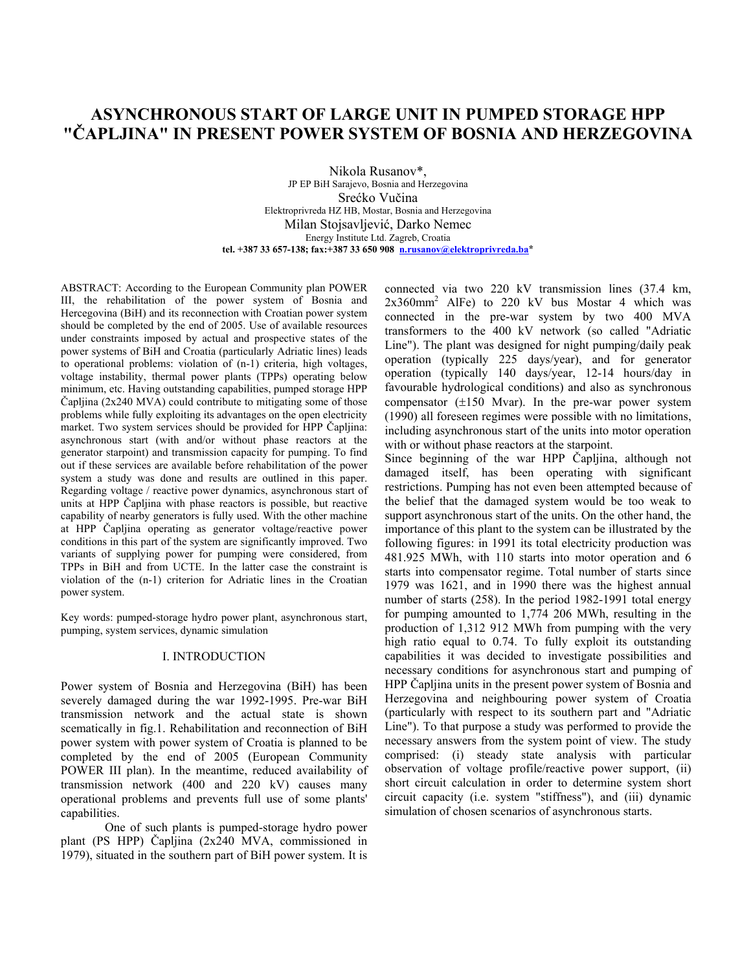# **ASYNCHRONOUS START OF LARGE UNIT IN PUMPED STORAGE HPP "ČAPLJINA" IN PRESENT POWER SYSTEM OF BOSNIA AND HERZEGOVINA**

Nikola Rusanov\*, JP EP BiH Sarajevo, Bosnia and Herzegovina Srećko Vučina Elektroprivreda HZ HB, Mostar, Bosnia and Herzegovina Milan Stojsavljević, Darko Nemec Energy Institute Ltd. Zagreb, Croatia **tel. +387 33 657-138; fax:+387 33 650 908 n.rusanov@elektroprivreda.ba\*** 

ABSTRACT: According to the European Community plan POWER III, the rehabilitation of the power system of Bosnia and Hercegovina (BiH) and its reconnection with Croatian power system should be completed by the end of 2005. Use of available resources under constraints imposed by actual and prospective states of the power systems of BiH and Croatia (particularly Adriatic lines) leads to operational problems: violation of (n-1) criteria, high voltages, voltage instability, thermal power plants (TPPs) operating below minimum, etc. Having outstanding capabilities, pumped storage HPP Čapljina (2x240 MVA) could contribute to mitigating some of those problems while fully exploiting its advantages on the open electricity market. Two system services should be provided for HPP Čapljina: asynchronous start (with and/or without phase reactors at the generator starpoint) and transmission capacity for pumping. To find out if these services are available before rehabilitation of the power system a study was done and results are outlined in this paper. Regarding voltage / reactive power dynamics, asynchronous start of units at HPP Čapljina with phase reactors is possible, but reactive capability of nearby generators is fully used. With the other machine at HPP Čapljina operating as generator voltage/reactive power conditions in this part of the system are significantly improved. Two variants of supplying power for pumping were considered, from TPPs in BiH and from UCTE. In the latter case the constraint is violation of the (n-1) criterion for Adriatic lines in the Croatian power system.

Key words: pumped-storage hydro power plant, asynchronous start, pumping, system services, dynamic simulation

#### I. INTRODUCTION

Power system of Bosnia and Herzegovina (BiH) has been severely damaged during the war 1992-1995. Pre-war BiH transmission network and the actual state is shown scematically in fig.1. Rehabilitation and reconnection of BiH power system with power system of Croatia is planned to be completed by the end of 2005 (European Community POWER III plan). In the meantime, reduced availability of transmission network (400 and 220 kV) causes many operational problems and prevents full use of some plants' capabilities.

One of such plants is pumped-storage hydro power plant (PS HPP) Čapljina (2x240 MVA, commissioned in 1979), situated in the southern part of BiH power system. It is

connected via two 220 kV transmission lines (37.4 km, 2x360mm2 AlFe) to 220 kV bus Mostar 4 which was connected in the pre-war system by two 400 MVA transformers to the 400 kV network (so called "Adriatic Line"). The plant was designed for night pumping/daily peak operation (typically 225 days/year), and for generator operation (typically 140 days/year, 12-14 hours/day in favourable hydrological conditions) and also as synchronous compensator  $(\pm 150 \text{ Mvar})$ . In the pre-war power system (1990) all foreseen regimes were possible with no limitations, including asynchronous start of the units into motor operation with or without phase reactors at the starpoint.

Since beginning of the war HPP Čapljina, although not damaged itself, has been operating with significant restrictions. Pumping has not even been attempted because of the belief that the damaged system would be too weak to support asynchronous start of the units. On the other hand, the importance of this plant to the system can be illustrated by the following figures: in 1991 its total electricity production was 481.925 MWh, with 110 starts into motor operation and 6 starts into compensator regime. Total number of starts since 1979 was 1621, and in 1990 there was the highest annual number of starts (258). In the period 1982-1991 total energy for pumping amounted to 1,774 206 MWh, resulting in the production of 1,312 912 MWh from pumping with the very high ratio equal to 0.74. To fully exploit its outstanding capabilities it was decided to investigate possibilities and necessary conditions for asynchronous start and pumping of HPP Čapljina units in the present power system of Bosnia and Herzegovina and neighbouring power system of Croatia (particularly with respect to its southern part and "Adriatic Line"). To that purpose a study was performed to provide the necessary answers from the system point of view. The study comprised: (i) steady state analysis with particular observation of voltage profile/reactive power support, (ii) short circuit calculation in order to determine system short circuit capacity (i.e. system "stiffness"), and (iii) dynamic simulation of chosen scenarios of asynchronous starts.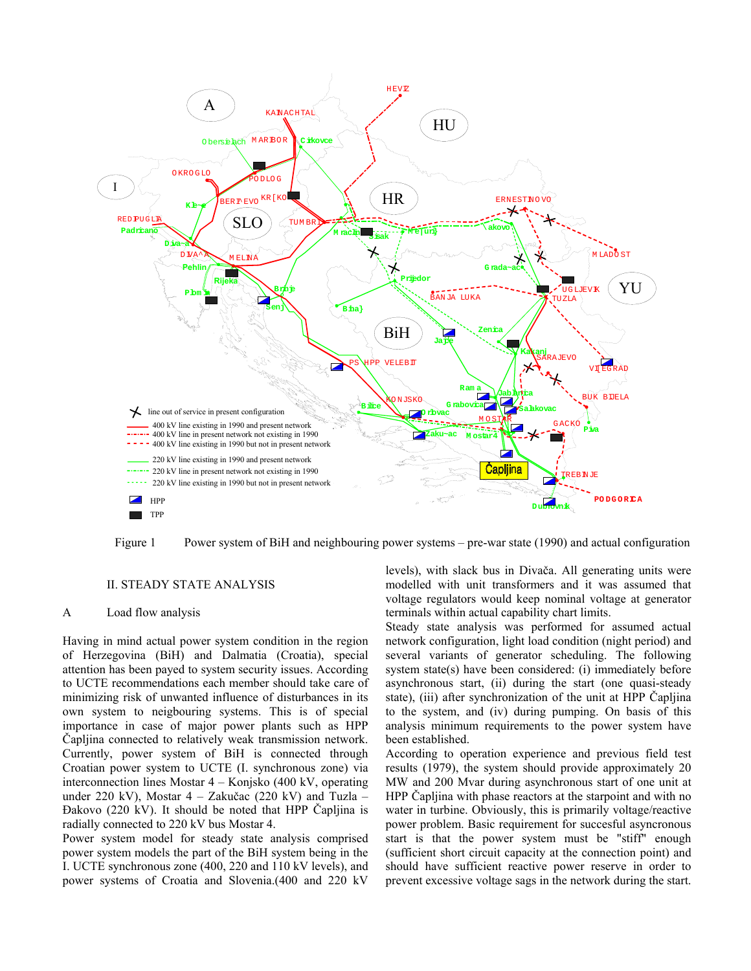

Figure 1 Power system of BiH and neighbouring power systems – pre-war state (1990) and actual configuration

#### II. STEADY STATE ANALYSIS

# A Load flow analysis

Having in mind actual power system condition in the region of Herzegovina (BiH) and Dalmatia (Croatia), special attention has been payed to system security issues. According to UCTE recommendations each member should take care of minimizing risk of unwanted influence of disturbances in its own system to neigbouring systems. This is of special importance in case of major power plants such as HPP Čapljina connected to relatively weak transmission network. Currently, power system of BiH is connected through Croatian power system to UCTE (I. synchronous zone) via interconnection lines Mostar 4 – Konjsko (400 kV, operating under 220 kV), Mostar 4 – Zakučac (220 kV) and Tuzla – Đakovo (220 kV). It should be noted that HPP Čapljina is radially connected to 220 kV bus Mostar 4.

Power system model for steady state analysis comprised power system models the part of the BiH system being in the I. UCTE synchronous zone (400, 220 and 110 kV levels), and power systems of Croatia and Slovenia.(400 and 220 kV

levels), with slack bus in Divača. All generating units were modelled with unit transformers and it was assumed that voltage regulators would keep nominal voltage at generator terminals within actual capability chart limits.

Steady state analysis was performed for assumed actual network configuration, light load condition (night period) and several variants of generator scheduling. The following system state(s) have been considered: (i) immediately before asynchronous start, (ii) during the start (one quasi-steady state), (iii) after synchronization of the unit at HPP Čapljina to the system, and (iv) during pumping. On basis of this analysis minimum requirements to the power system have been established.

According to operation experience and previous field test results (1979), the system should provide approximately 20 MW and 200 Mvar during asynchronous start of one unit at HPP Čapljina with phase reactors at the starpoint and with no water in turbine. Obviously, this is primarily voltage/reactive power problem. Basic requirement for succesful asyncronous start is that the power system must be "stiff" enough (sufficient short circuit capacity at the connection point) and should have sufficient reactive power reserve in order to prevent excessive voltage sags in the network during the start.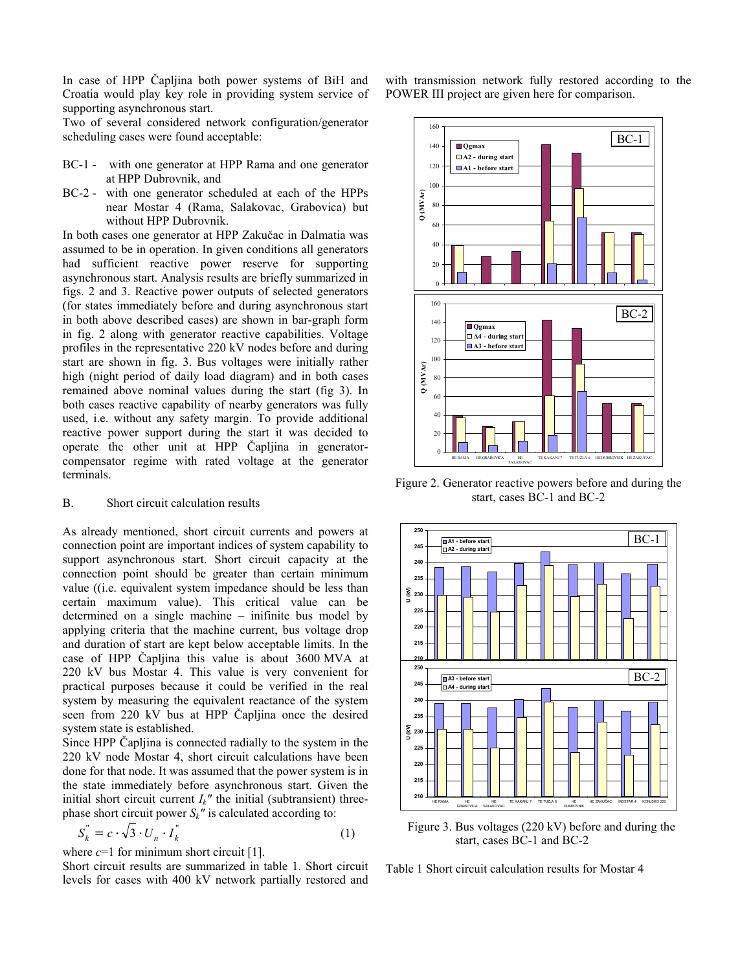In case of HPP Čapljina both power systems of BiH and Croatia would play key role in providing system service of supporting asynchronous start.

Two of several considered network configuration/generator scheduling cases were found acceptable:

- BC-1 with one generator at HPP Rama and one generator at HPP Dubrovnik, and
- BC-2 with one generator scheduled at each of the HPPs near Mostar 4 (Rama, Salakovac, Grabovica) but without HPP Dubrovnik.

In both cases one generator at HPP Zakučac in Dalmatia was assumed to be in operation. In given conditions all generators had sufficient reactive power reserve for supporting asynchronous start. Analysis results are briefly summarized in figs. 2 and 3. Reactive power outputs of selected generators (for states immediately before and during asynchronous start in both above described cases) are shown in bar-graph form in fig. 2 along with generator reactive capabilities. Voltage profiles in the representative 220 kV nodes before and during start are shown in fig. 3. Bus voltages were initially rather high (night period of daily load diagram) and in both cases remained above nominal values during the start (fig 3). In both cases reactive capability of nearby generators was fully used, i.e. without any safety margin. To provide additional reactive power support during the start it was decided to operate the other unit at HPP Čapljina in generatorcompensator regime with rated voltage at the generator terminals.

# B. Short circuit calculation results

As already mentioned, short circuit currents and powers at connection point are important indices of system capability to support asynchronous start. Short circuit capacity at the connection point should be greater than certain minimum value ((i.e. equivalent system impedance should be less than certain maximum value). This critical value can be determined on a single machine – inifinite bus model by applying criteria that the machine current, bus voltage drop and duration of start are kept below acceptable limits. In the case of HPP Čapljina this value is about 3600 MVA at 220 kV bus Mostar 4. This value is very convenient for practical purposes because it could be verified in the real system by measuring the equivalent reactance of the system seen from 220 kV bus at HPP Čapljina once the desired system state is established.

Since HPP Čapljina is connected radially to the system in the 220 kV node Mostar 4, short circuit calculations have been done for that node. It was assumed that the power system is in the state immediately before asynchronous start. Given the initial short circuit current  $I_k$ " the initial (subtransient) threephase short circuit power  $S_k$ " is calculated according to:

$$
S_k^{\dagger} = c \cdot \sqrt{3} \cdot U_n \cdot I_k^{\dagger} \tag{1}
$$

where  $c=1$  for minimum short circuit [1].

Short circuit results are summarized in table 1. Short circuit levels for cases with 400 kV network partially restored and

with transmission network fully restored according to the POWER III project are given here for comparison.



Figure 2. Generator reactive powers before and during the start, cases BC-1 and BC-2



Figure 3. Bus voltages (220 kV) before and during the start, cases BC-1 and BC-2

Table 1 Short circuit calculation results for Mostar 4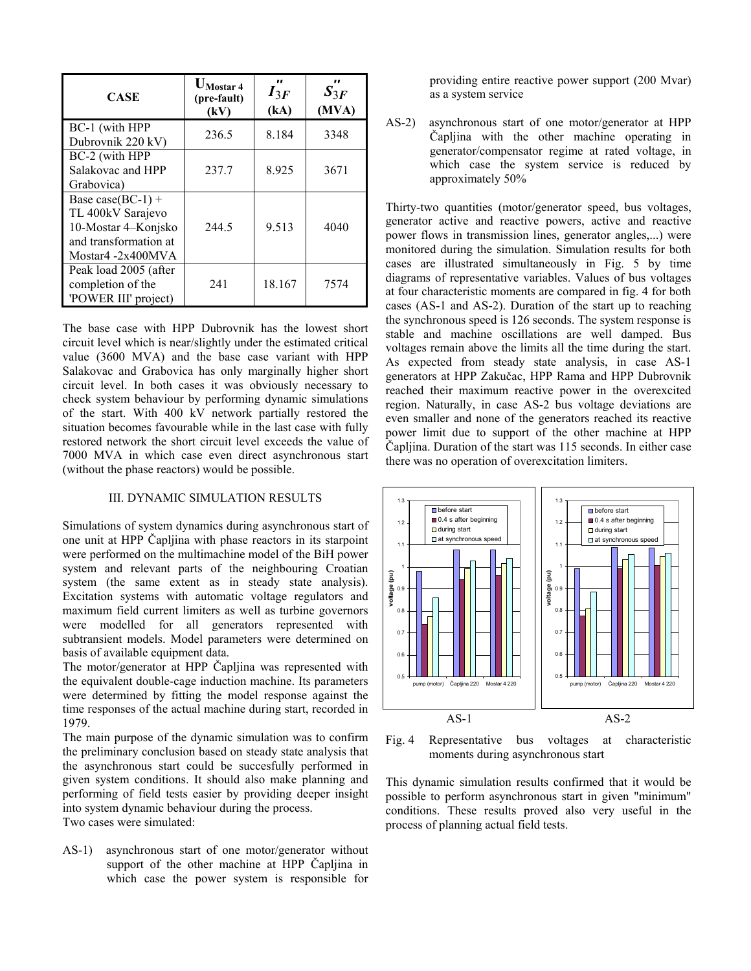| CASE                                                                                                            | $UMostar$ 4<br>(pre-fault)<br>(kV) | <br>$I_{3F}$<br>(kA) | $S_{3F}$<br>(MVA) |
|-----------------------------------------------------------------------------------------------------------------|------------------------------------|----------------------|-------------------|
| BC-1 (with HPP<br>Dubrovnik 220 kV)                                                                             | 236.5                              | 8.184                | 3348              |
| BC-2 (with HPP<br>Salakovac and HPP<br>Grabovica)                                                               | 237.7                              | 8.925                | 3671              |
| Base case( $BC-1$ ) +<br>TL 400kV Sarajevo<br>10-Mostar 4–Konjsko<br>and transformation at<br>Mostar4 -2x400MVA | 244.5                              | 9.513                | 4040              |
| Peak load 2005 (after<br>completion of the<br>'POWER III' project)                                              | 241                                | 18.167               | 7574              |

The base case with HPP Dubrovnik has the lowest short circuit level which is near/slightly under the estimated critical value (3600 MVA) and the base case variant with HPP Salakovac and Grabovica has only marginally higher short circuit level. In both cases it was obviously necessary to check system behaviour by performing dynamic simulations of the start. With 400 kV network partially restored the situation becomes favourable while in the last case with fully restored network the short circuit level exceeds the value of 7000 MVA in which case even direct asynchronous start (without the phase reactors) would be possible.

# III. DYNAMIC SIMULATION RESULTS

Simulations of system dynamics during asynchronous start of one unit at HPP Čapljina with phase reactors in its starpoint were performed on the multimachine model of the BiH power system and relevant parts of the neighbouring Croatian system (the same extent as in steady state analysis). Excitation systems with automatic voltage regulators and maximum field current limiters as well as turbine governors were modelled for all generators represented with subtransient models. Model parameters were determined on basis of available equipment data.

The motor/generator at HPP Čapljina was represented with the equivalent double-cage induction machine. Its parameters were determined by fitting the model response against the time responses of the actual machine during start, recorded in 1979.

The main purpose of the dynamic simulation was to confirm the preliminary conclusion based on steady state analysis that the asynchronous start could be succesfully performed in given system conditions. It should also make planning and performing of field tests easier by providing deeper insight into system dynamic behaviour during the process. Two cases were simulated:

AS-1) asynchronous start of one motor/generator without support of the other machine at HPP Čapljina in which case the power system is responsible for

providing entire reactive power support (200 Mvar) as a system service

AS-2) asynchronous start of one motor/generator at HPP Čapljina with the other machine operating in generator/compensator regime at rated voltage, in which case the system service is reduced by approximately 50%

Thirty-two quantities (motor/generator speed, bus voltages, generator active and reactive powers, active and reactive power flows in transmission lines, generator angles,...) were monitored during the simulation. Simulation results for both cases are illustrated simultaneously in Fig. 5 by time diagrams of representative variables. Values of bus voltages at four characteristic moments are compared in fig. 4 for both cases (AS-1 and AS-2). Duration of the start up to reaching the synchronous speed is 126 seconds. The system response is stable and machine oscillations are well damped. Bus voltages remain above the limits all the time during the start. As expected from steady state analysis, in case AS-1 generators at HPP Zakučac, HPP Rama and HPP Dubrovnik reached their maximum reactive power in the overexcited region. Naturally, in case AS-2 bus voltage deviations are even smaller and none of the generators reached its reactive power limit due to support of the other machine at HPP Čapljina. Duration of the start was 115 seconds. In either case there was no operation of overexcitation limiters.



Fig. 4 Representative bus voltages at characteristic moments during asynchronous start

This dynamic simulation results confirmed that it would be possible to perform asynchronous start in given "minimum" conditions. These results proved also very useful in the process of planning actual field tests.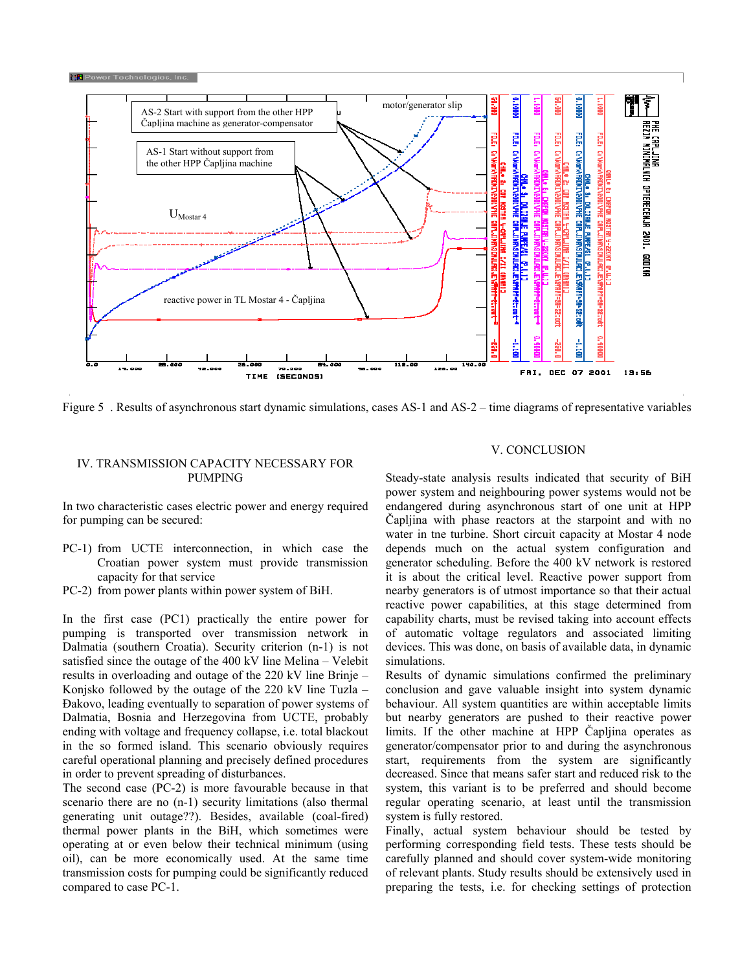

Figure 5 . Results of asynchronous start dynamic simulations, cases AS-1 and AS-2 – time diagrams of representative variables

## IV. TRANSMISSION CAPACITY NECESSARY FOR PUMPING

In two characteristic cases electric power and energy required for pumping can be secured:

- PC-1) from UCTE interconnection, in which case the Croatian power system must provide transmission capacity for that service
- PC-2) from power plants within power system of BiH.

In the first case (PC1) practically the entire power for pumping is transported over transmission network in Dalmatia (southern Croatia). Security criterion (n-1) is not satisfied since the outage of the 400 kV line Melina – Velebit results in overloading and outage of the 220 kV line Brinje – Konjsko followed by the outage of the 220 kV line Tuzla – Đakovo, leading eventually to separation of power systems of Dalmatia, Bosnia and Herzegovina from UCTE, probably ending with voltage and frequency collapse, i.e. total blackout in the so formed island. This scenario obviously requires careful operational planning and precisely defined procedures in order to prevent spreading of disturbances.

The second case (PC-2) is more favourable because in that scenario there are no (n-1) security limitations (also thermal generating unit outage??). Besides, available (coal-fired) thermal power plants in the BiH, which sometimes were operating at or even below their technical minimum (using oil), can be more economically used. At the same time transmission costs for pumping could be significantly reduced compared to case PC-1.

## V. CONCLUSION

Steady-state analysis results indicated that security of BiH power system and neighbouring power systems would not be endangered during asynchronous start of one unit at HPP Čapljina with phase reactors at the starpoint and with no water in tne turbine. Short circuit capacity at Mostar 4 node depends much on the actual system configuration and generator scheduling. Before the 400 kV network is restored it is about the critical level. Reactive power support from nearby generators is of utmost importance so that their actual reactive power capabilities, at this stage determined from capability charts, must be revised taking into account effects of automatic voltage regulators and associated limiting devices. This was done, on basis of available data, in dynamic simulations.

Results of dynamic simulations confirmed the preliminary conclusion and gave valuable insight into system dynamic behaviour. All system quantities are within acceptable limits but nearby generators are pushed to their reactive power limits. If the other machine at HPP Čapljina operates as generator/compensator prior to and during the asynchronous start, requirements from the system are significantly decreased. Since that means safer start and reduced risk to the system, this variant is to be preferred and should become regular operating scenario, at least until the transmission system is fully restored.

Finally, actual system behaviour should be tested by performing corresponding field tests. These tests should be carefully planned and should cover system-wide monitoring of relevant plants. Study results should be extensively used in preparing the tests, i.e. for checking settings of protection